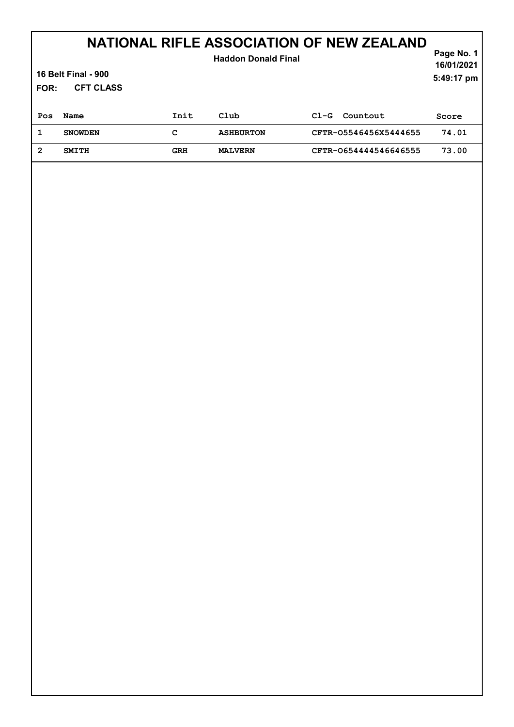# NATIONAL RIFLE ASSOCIATION OF NEW ZEALAND

#### CFT CLASS Page No. 1 16/01/2021 16 Belt Final - 900 FOR: 5:49:17 pm Haddon Donald Final Pos Name 1nit Club Cl-G Countout Score 1 SNOWDEN C ASHBURTON CFTR-O5546456X5444655 74.01 2 SMITH GRH MALVERN CFTR-O654444546646555 73.00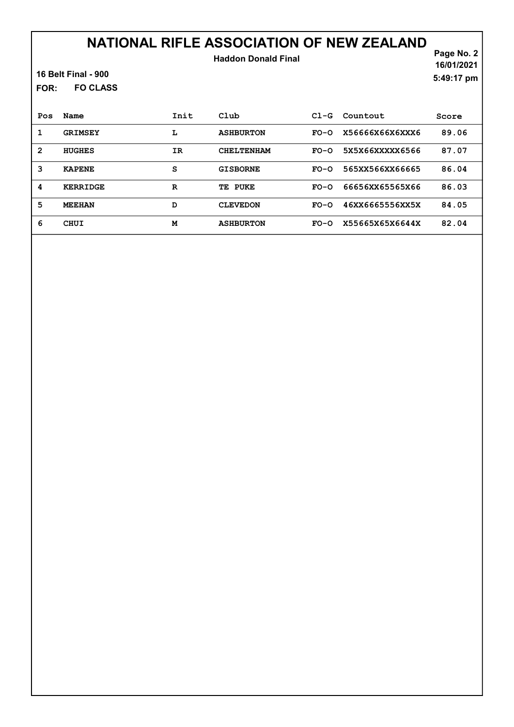### NATIONAL RIFLE ASSOCIATION OF NEW ZEALAND Haddon Donald Final

16 Belt Final - 900

FO CLASS FOR:

Page No. 2 16/01/2021 5:49:17 pm

| Pos | Name            | Init | Club              | $C1-G$ | Countout        | Score |
|-----|-----------------|------|-------------------|--------|-----------------|-------|
| 1   | <b>GRIMSEY</b>  | L    | <b>ASHBURTON</b>  | $FO-O$ | X56666X66X6XXX6 | 89.06 |
| 2   | <b>HUGHES</b>   | IR   | <b>CHELTENHAM</b> | $FO-O$ | 5X5X66XXXXX6566 | 87.07 |
| 3   | <b>KAPENE</b>   | s    | <b>GISBORNE</b>   | $FO-O$ | 565XX566XX66665 | 86.04 |
| 4   | <b>KERRIDGE</b> | R    | TE PUKE           | $FO-O$ | 66656XX65565X66 | 86.03 |
| 5   | <b>MEEHAN</b>   | D    | <b>CLEVEDON</b>   | $FO-O$ | 46XX6665556XX5X | 84.05 |
| 6   | CHUI            | М    | <b>ASHBURTON</b>  | $FO-O$ | X55665X65X6644X | 82.04 |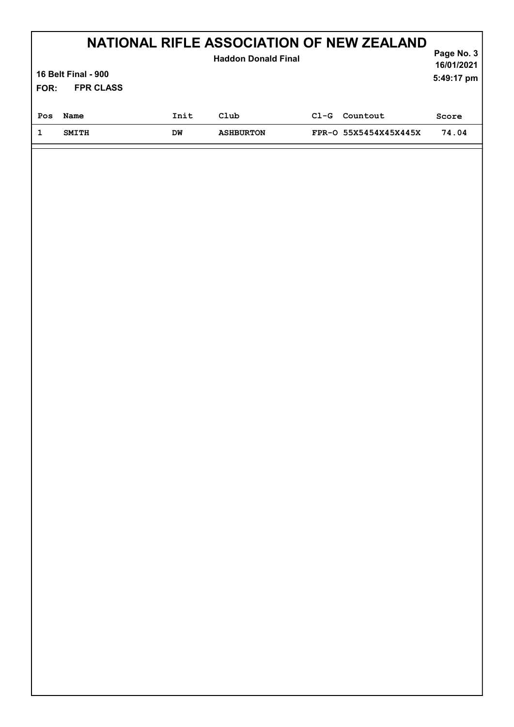| NATIONAL RIFLE ASSOCIATION OF NEW ZEALAND<br><b>Haddon Donald Final</b><br><b>16 Belt Final - 900</b><br><b>FPR CLASS</b><br>FOR: |              |      |                  |        |                       |       |
|-----------------------------------------------------------------------------------------------------------------------------------|--------------|------|------------------|--------|-----------------------|-------|
| Pos                                                                                                                               | Name         | Init | Club             | $CL-G$ | Countout              | Score |
| 1                                                                                                                                 | <b>SMITH</b> | DW   | <b>ASHBURTON</b> |        | FPR-0 55X5454X45X445X | 74.04 |
|                                                                                                                                   |              |      |                  |        |                       |       |
|                                                                                                                                   |              |      |                  |        |                       |       |
|                                                                                                                                   |              |      |                  |        |                       |       |

I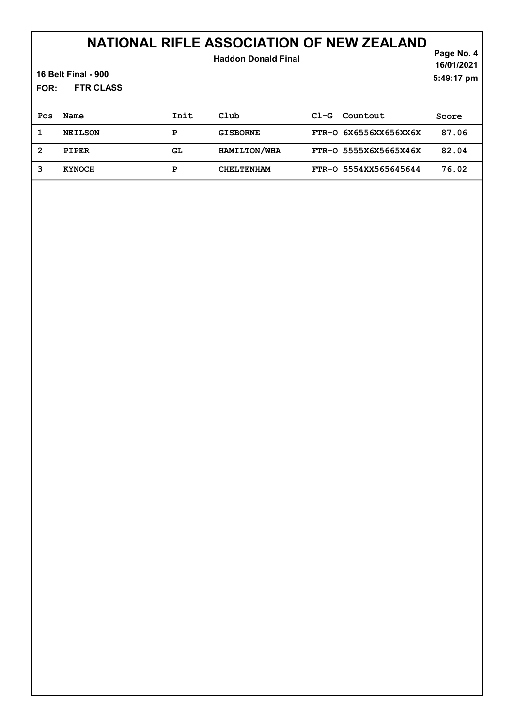### NATIONAL RIFLE ASSOCIATION OF NEW ZEALAND

| <b>FOR:</b>    | <b>16 Belt Final - 900</b><br><b>FTR CLASS</b> |      | <b>Haddon Donald Final</b> |        |                       | Page No. 4<br>16/01/2021<br>5:49:17 pm |
|----------------|------------------------------------------------|------|----------------------------|--------|-----------------------|----------------------------------------|
| Pos            | Name                                           | Init | $_{\rm Club}$              | $C1-G$ | Countout              | Score                                  |
| 1              | <b>NEILSON</b>                                 | P    | <b>GISBORNE</b>            |        | FTR-0 6X6556XX656XX6X | 87.06                                  |
| $\overline{2}$ | <b>PIPER</b>                                   | GL.  | HAMILTON/WHA               |        | FTR-0 5555X6X5665X46X | 82.04                                  |
| 3              | <b>KYNOCH</b>                                  | P    | <b>CHELTENHAM</b>          |        | FTR-0 5554XX565645644 | 76.02                                  |